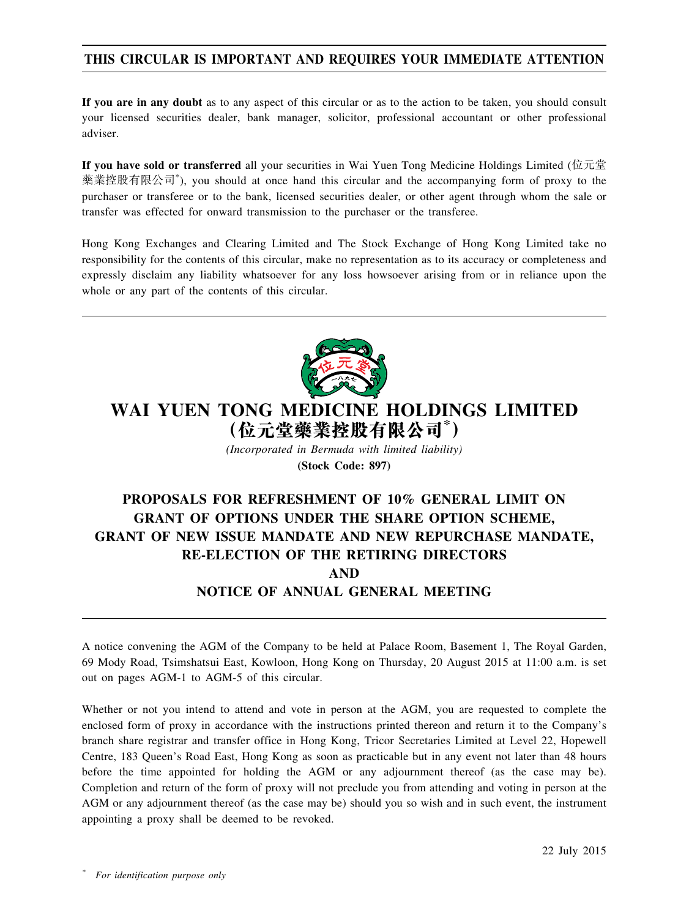## **THIS CIRCULAR IS IMPORTANT AND REQUIRES YOUR IMMEDIATE ATTENTION**

**If you are in any doubt** as to any aspect of this circular or as to the action to be taken, you should consult your licensed securities dealer, bank manager, solicitor, professional accountant or other professional adviser.

**If you have sold or transferred** all your securities in Wai Yuen Tong Medicine Holdings Limited (位元堂 藥業控股有限公司\* ), you should at once hand this circular and the accompanying form of proxy to the purchaser or transferee or to the bank, licensed securities dealer, or other agent through whom the sale or transfer was effected for onward transmission to the purchaser or the transferee.

Hong Kong Exchanges and Clearing Limited and The Stock Exchange of Hong Kong Limited take no responsibility for the contents of this circular, make no representation as to its accuracy or completeness and expressly disclaim any liability whatsoever for any loss howsoever arising from or in reliance upon the whole or any part of the contents of this circular.



# **WAI YUEN TONG MEDICINE HOLDINGS LIMITED (位元堂藥業控股有限公司\* )**

*(Incorporated in Bermuda with limited liability)* **(Stock Code: 897)**

# **PROPOSALS FOR REFRESHMENT OF 10% GENERAL LIMIT ON GRANT OF OPTIONS UNDER THE SHARE OPTION SCHEME, GRANT OF NEW ISSUE MANDATE AND NEW REPURCHASE MANDATE, RE-ELECTION OF THE RETIRING DIRECTORS AND NOTICE OF ANNUAL GENERAL MEETING**

A notice convening the AGM of the Company to be held at Palace Room, Basement 1, The Royal Garden, 69 Mody Road, Tsimshatsui East, Kowloon, Hong Kong on Thursday, 20 August 2015 at 11:00 a.m. is set out on pages AGM-1 to AGM-5 of this circular.

Whether or not you intend to attend and vote in person at the AGM, you are requested to complete the enclosed form of proxy in accordance with the instructions printed thereon and return it to the Company's branch share registrar and transfer office in Hong Kong, Tricor Secretaries Limited at Level 22, Hopewell Centre, 183 Queen's Road East, Hong Kong as soon as practicable but in any event not later than 48 hours before the time appointed for holding the AGM or any adjournment thereof (as the case may be). Completion and return of the form of proxy will not preclude you from attending and voting in person at the AGM or any adjournment thereof (as the case may be) should you so wish and in such event, the instrument appointing a proxy shall be deemed to be revoked.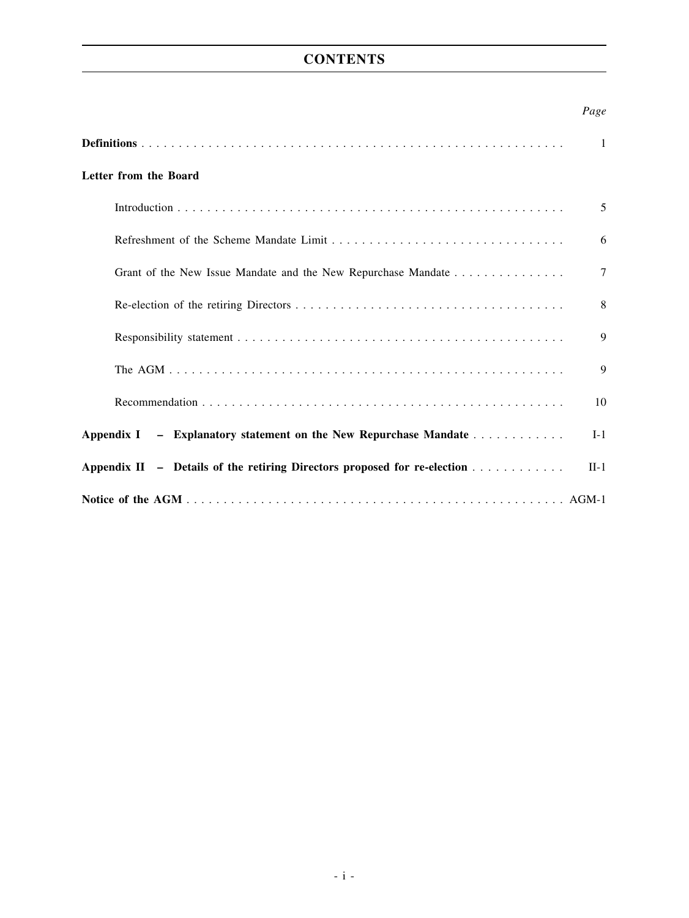## **CONTENTS**

## *Page*

|                                                                          | $\mathbf{1}$ |
|--------------------------------------------------------------------------|--------------|
| Letter from the Board                                                    |              |
|                                                                          | 5            |
|                                                                          | 6            |
| Grant of the New Issue Mandate and the New Repurchase Mandate            | $\tau$       |
|                                                                          | 8            |
|                                                                          | 9            |
|                                                                          | 9            |
|                                                                          | 10           |
| Appendix I – Explanatory statement on the New Repurchase Mandate         | $I-1$        |
| Appendix II - Details of the retiring Directors proposed for re-election | $II-1$       |
|                                                                          |              |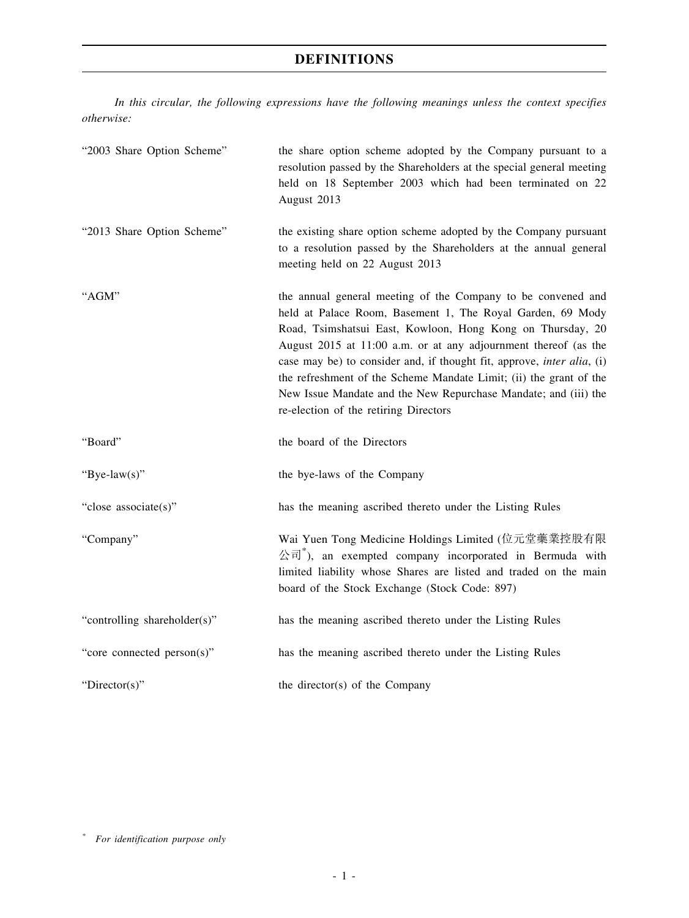*In this circular, the following expressions have the following meanings unless the context specifies otherwise:*

| "2003 Share Option Scheme"   | the share option scheme adopted by the Company pursuant to a<br>resolution passed by the Shareholders at the special general meeting<br>held on 18 September 2003 which had been terminated on 22<br>August 2013                                                                                                                                                                                                                                                                                                                |
|------------------------------|---------------------------------------------------------------------------------------------------------------------------------------------------------------------------------------------------------------------------------------------------------------------------------------------------------------------------------------------------------------------------------------------------------------------------------------------------------------------------------------------------------------------------------|
| "2013 Share Option Scheme"   | the existing share option scheme adopted by the Company pursuant<br>to a resolution passed by the Shareholders at the annual general<br>meeting held on 22 August 2013                                                                                                                                                                                                                                                                                                                                                          |
| "AGM"                        | the annual general meeting of the Company to be convened and<br>held at Palace Room, Basement 1, The Royal Garden, 69 Mody<br>Road, Tsimshatsui East, Kowloon, Hong Kong on Thursday, 20<br>August 2015 at 11:00 a.m. or at any adjournment thereof (as the<br>case may be) to consider and, if thought fit, approve, <i>inter alia</i> , (i)<br>the refreshment of the Scheme Mandate Limit; (ii) the grant of the<br>New Issue Mandate and the New Repurchase Mandate; and (iii) the<br>re-election of the retiring Directors |
| "Board"                      | the board of the Directors                                                                                                                                                                                                                                                                                                                                                                                                                                                                                                      |
| "Bye-law(s)"                 | the bye-laws of the Company                                                                                                                                                                                                                                                                                                                                                                                                                                                                                                     |
| "close associate(s)"         | has the meaning ascribed thereto under the Listing Rules                                                                                                                                                                                                                                                                                                                                                                                                                                                                        |
| "Company"                    | Wai Yuen Tong Medicine Holdings Limited (位元堂藥業控股有限<br>$\langle \hat{\mathbb{E}}^* \hat{\mathbb{E}}^* \rangle$ , an exempted company incorporated in Bermuda with<br>limited liability whose Shares are listed and traded on the main<br>board of the Stock Exchange (Stock Code: 897)                                                                                                                                                                                                                                           |
| "controlling shareholder(s)" | has the meaning ascribed thereto under the Listing Rules                                                                                                                                                                                                                                                                                                                                                                                                                                                                        |
| "core connected person(s)"   | has the meaning ascribed thereto under the Listing Rules                                                                                                                                                                                                                                                                                                                                                                                                                                                                        |
| "Director(s)"                | the director(s) of the Company                                                                                                                                                                                                                                                                                                                                                                                                                                                                                                  |

*\* For identification purpose only*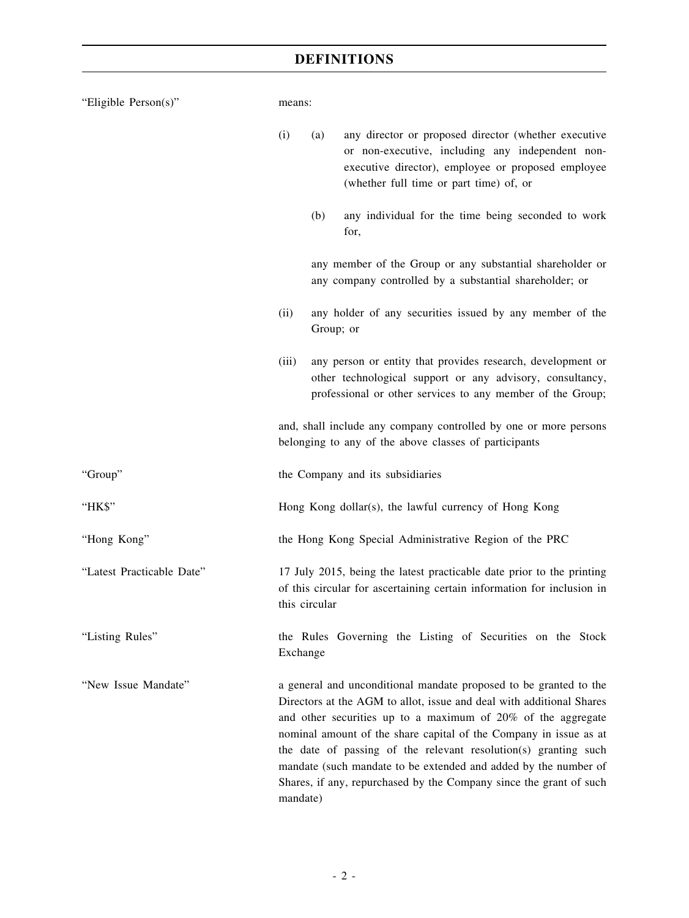| "Eligible Person(s)"      | means:                                                                                                                                                           |           |                                                                                                                                                                                                                                                                                                                                                                                                                                                                                            |  |
|---------------------------|------------------------------------------------------------------------------------------------------------------------------------------------------------------|-----------|--------------------------------------------------------------------------------------------------------------------------------------------------------------------------------------------------------------------------------------------------------------------------------------------------------------------------------------------------------------------------------------------------------------------------------------------------------------------------------------------|--|
|                           | (i)                                                                                                                                                              | (a)       | any director or proposed director (whether executive<br>or non-executive, including any independent non-<br>executive director), employee or proposed employee<br>(whether full time or part time) of, or                                                                                                                                                                                                                                                                                  |  |
|                           |                                                                                                                                                                  | (b)       | any individual for the time being seconded to work<br>for,                                                                                                                                                                                                                                                                                                                                                                                                                                 |  |
|                           |                                                                                                                                                                  |           | any member of the Group or any substantial shareholder or<br>any company controlled by a substantial shareholder; or                                                                                                                                                                                                                                                                                                                                                                       |  |
|                           | (ii)                                                                                                                                                             | Group; or | any holder of any securities issued by any member of the                                                                                                                                                                                                                                                                                                                                                                                                                                   |  |
|                           | (iii)                                                                                                                                                            |           | any person or entity that provides research, development or<br>other technological support or any advisory, consultancy,<br>professional or other services to any member of the Group;                                                                                                                                                                                                                                                                                                     |  |
|                           | and, shall include any company controlled by one or more persons<br>belonging to any of the above classes of participants                                        |           |                                                                                                                                                                                                                                                                                                                                                                                                                                                                                            |  |
| "Group"                   |                                                                                                                                                                  |           | the Company and its subsidiaries                                                                                                                                                                                                                                                                                                                                                                                                                                                           |  |
| "HK\$"                    |                                                                                                                                                                  |           | Hong Kong dollar(s), the lawful currency of Hong Kong                                                                                                                                                                                                                                                                                                                                                                                                                                      |  |
| "Hong Kong"               |                                                                                                                                                                  |           | the Hong Kong Special Administrative Region of the PRC                                                                                                                                                                                                                                                                                                                                                                                                                                     |  |
| "Latest Practicable Date" | 17 July 2015, being the latest practicable date prior to the printing<br>of this circular for ascertaining certain information for inclusion in<br>this circular |           |                                                                                                                                                                                                                                                                                                                                                                                                                                                                                            |  |
| "Listing Rules"           | Exchange                                                                                                                                                         |           | the Rules Governing the Listing of Securities on the Stock                                                                                                                                                                                                                                                                                                                                                                                                                                 |  |
| "New Issue Mandate"       | mandate)                                                                                                                                                         |           | a general and unconditional mandate proposed to be granted to the<br>Directors at the AGM to allot, issue and deal with additional Shares<br>and other securities up to a maximum of 20% of the aggregate<br>nominal amount of the share capital of the Company in issue as at<br>the date of passing of the relevant resolution(s) granting such<br>mandate (such mandate to be extended and added by the number of<br>Shares, if any, repurchased by the Company since the grant of such |  |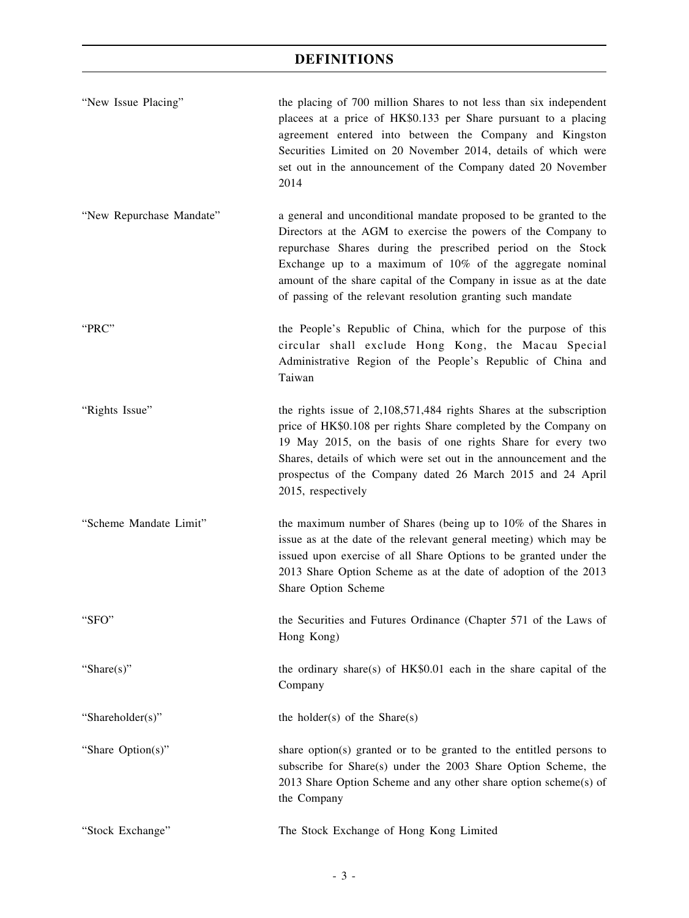| "New Issue Placing"      | the placing of 700 million Shares to not less than six independent<br>placees at a price of HK\$0.133 per Share pursuant to a placing<br>agreement entered into between the Company and Kingston<br>Securities Limited on 20 November 2014, details of which were<br>set out in the announcement of the Company dated 20 November<br>2014                                                          |
|--------------------------|----------------------------------------------------------------------------------------------------------------------------------------------------------------------------------------------------------------------------------------------------------------------------------------------------------------------------------------------------------------------------------------------------|
| "New Repurchase Mandate" | a general and unconditional mandate proposed to be granted to the<br>Directors at the AGM to exercise the powers of the Company to<br>repurchase Shares during the prescribed period on the Stock<br>Exchange up to a maximum of 10% of the aggregate nominal<br>amount of the share capital of the Company in issue as at the date<br>of passing of the relevant resolution granting such mandate |
| "PRC"                    | the People's Republic of China, which for the purpose of this<br>circular shall exclude Hong Kong, the Macau Special<br>Administrative Region of the People's Republic of China and<br>Taiwan                                                                                                                                                                                                      |
| "Rights Issue"           | the rights issue of $2,108,571,484$ rights Shares at the subscription<br>price of HK\$0.108 per rights Share completed by the Company on<br>19 May 2015, on the basis of one rights Share for every two<br>Shares, details of which were set out in the announcement and the<br>prospectus of the Company dated 26 March 2015 and 24 April<br>2015, respectively                                   |
| "Scheme Mandate Limit"   | the maximum number of Shares (being up to 10% of the Shares in<br>issue as at the date of the relevant general meeting) which may be<br>issued upon exercise of all Share Options to be granted under the<br>2013 Share Option Scheme as at the date of adoption of the 2013<br>Share Option Scheme                                                                                                |
| "SFO"                    | the Securities and Futures Ordinance (Chapter 571 of the Laws of<br>Hong Kong)                                                                                                                                                                                                                                                                                                                     |
| "Share $(s)$ "           | the ordinary share(s) of HK\$0.01 each in the share capital of the<br>Company                                                                                                                                                                                                                                                                                                                      |
| "Shareholder(s)"         | the holder(s) of the Share(s)                                                                                                                                                                                                                                                                                                                                                                      |
| "Share Option(s)"        | share option(s) granted or to be granted to the entitled persons to<br>subscribe for Share(s) under the 2003 Share Option Scheme, the<br>2013 Share Option Scheme and any other share option scheme(s) of<br>the Company                                                                                                                                                                           |
| "Stock Exchange"         | The Stock Exchange of Hong Kong Limited                                                                                                                                                                                                                                                                                                                                                            |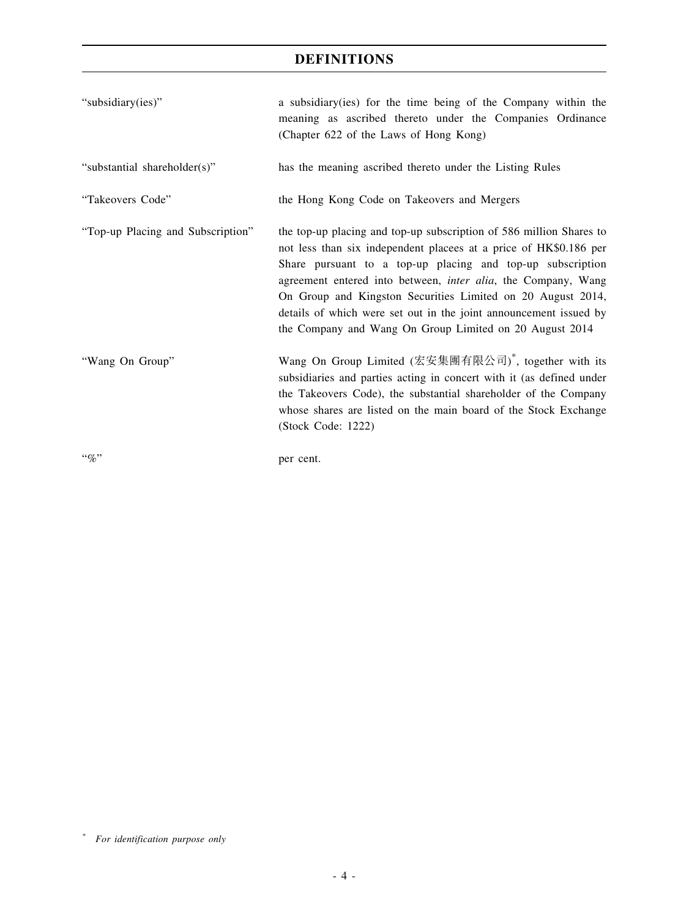| "subsidiary(ies)"                 | a subsidiary (ies) for the time being of the Company within the<br>meaning as ascribed thereto under the Companies Ordinance<br>(Chapter 622 of the Laws of Hong Kong)                                                                                                                                                                                                                                                                                                         |
|-----------------------------------|--------------------------------------------------------------------------------------------------------------------------------------------------------------------------------------------------------------------------------------------------------------------------------------------------------------------------------------------------------------------------------------------------------------------------------------------------------------------------------|
| "substantial shareholder(s)"      | has the meaning ascribed thereto under the Listing Rules                                                                                                                                                                                                                                                                                                                                                                                                                       |
| "Takeovers Code"                  | the Hong Kong Code on Takeovers and Mergers                                                                                                                                                                                                                                                                                                                                                                                                                                    |
| "Top-up Placing and Subscription" | the top-up placing and top-up subscription of 586 million Shares to<br>not less than six independent placees at a price of HK\$0.186 per<br>Share pursuant to a top-up placing and top-up subscription<br>agreement entered into between, <i>inter alia</i> , the Company, Wang<br>On Group and Kingston Securities Limited on 20 August 2014,<br>details of which were set out in the joint announcement issued by<br>the Company and Wang On Group Limited on 20 August 2014 |
| "Wang On Group"                   | Wang On Group Limited (宏安集團有限公司) <sup>*</sup> , together with its<br>subsidiaries and parties acting in concert with it (as defined under<br>the Takeovers Code), the substantial shareholder of the Company<br>whose shares are listed on the main board of the Stock Exchange<br>(Stock Code: 1222)                                                                                                                                                                          |
| $\lq\lq q_0$                      | per cent.                                                                                                                                                                                                                                                                                                                                                                                                                                                                      |

*<sup>\*</sup> For identification purpose only*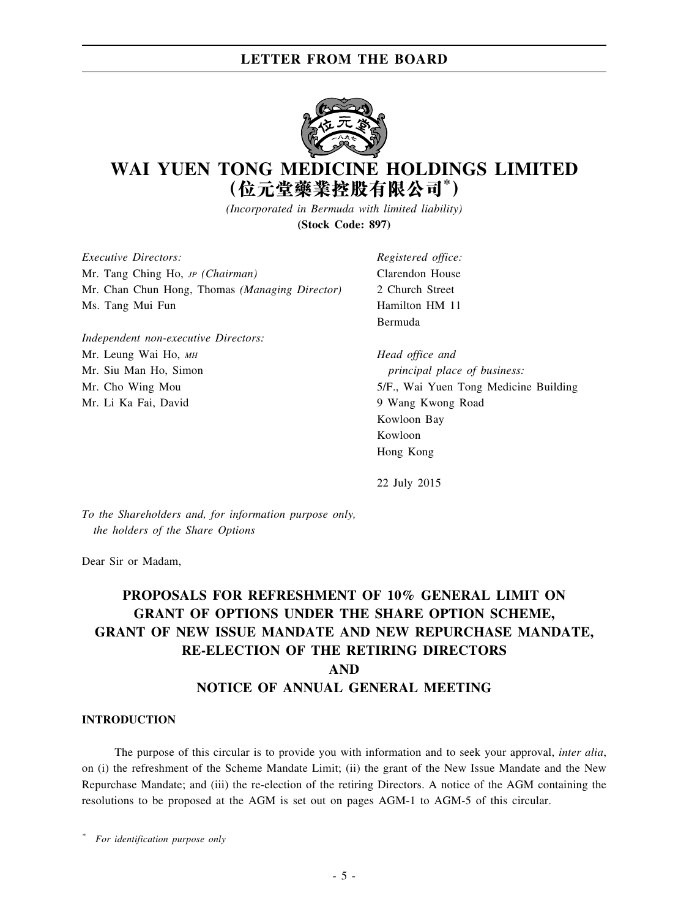

# **WAI YUEN TONG MEDICINE HOLDINGS LIMITED (位元堂藥業控股有限公司\* )**

*(Incorporated in Bermuda with limited liability)* **(Stock Code: 897)**

*Executive Directors:* Mr. Tang Ching Ho, *JP (Chairman)* Mr. Chan Chun Hong, Thomas *(Managing Director)* Ms. Tang Mui Fun

*Independent non-executive Directors:* Mr. Leung Wai Ho, *MH* Mr. Siu Man Ho, Simon Mr. Cho Wing Mou Mr. Li Ka Fai, David

*Registered office:* Clarendon House 2 Church Street Hamilton HM 11 Bermuda

*Head office and principal place of business:* 5/F., Wai Yuen Tong Medicine Building 9 Wang Kwong Road Kowloon Bay Kowloon Hong Kong

22 July 2015

*To the Shareholders and, for information purpose only, the holders of the Share Options*

Dear Sir or Madam,

## **PROPOSALS FOR REFRESHMENT OF 10% GENERAL LIMIT ON GRANT OF OPTIONS UNDER THE SHARE OPTION SCHEME, GRANT OF NEW ISSUE MANDATE AND NEW REPURCHASE MANDATE, RE-ELECTION OF THE RETIRING DIRECTORS AND NOTICE OF ANNUAL GENERAL MEETING**

#### **INTRODUCTION**

The purpose of this circular is to provide you with information and to seek your approval, *inter alia*, on (i) the refreshment of the Scheme Mandate Limit; (ii) the grant of the New Issue Mandate and the New Repurchase Mandate; and (iii) the re-election of the retiring Directors. A notice of the AGM containing the resolutions to be proposed at the AGM is set out on pages AGM-1 to AGM-5 of this circular.

*\* For identification purpose only*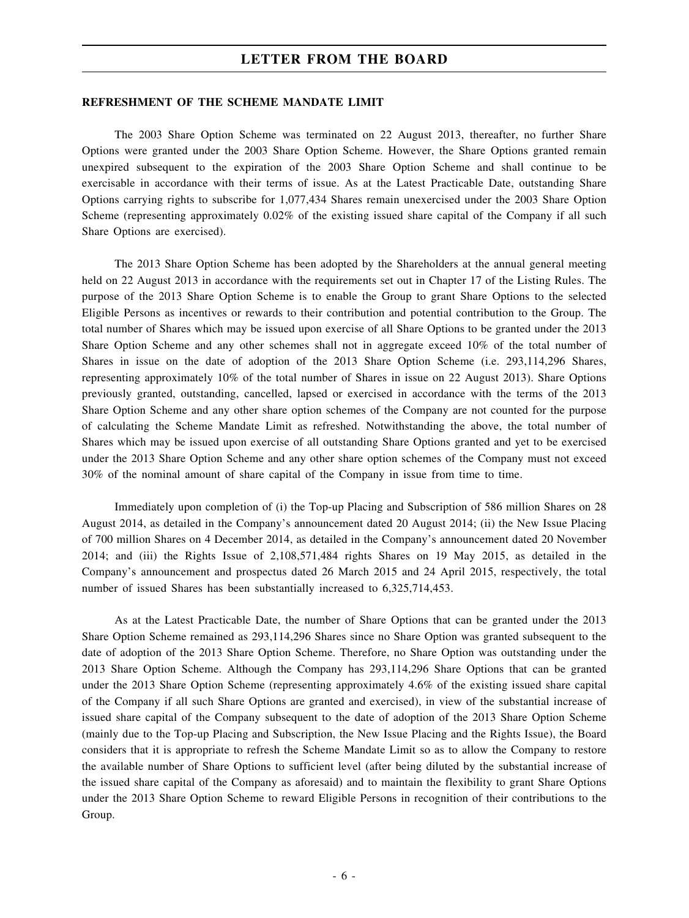#### **REFRESHMENT OF THE SCHEME MANDATE LIMIT**

The 2003 Share Option Scheme was terminated on 22 August 2013, thereafter, no further Share Options were granted under the 2003 Share Option Scheme. However, the Share Options granted remain unexpired subsequent to the expiration of the 2003 Share Option Scheme and shall continue to be exercisable in accordance with their terms of issue. As at the Latest Practicable Date, outstanding Share Options carrying rights to subscribe for 1,077,434 Shares remain unexercised under the 2003 Share Option Scheme (representing approximately 0.02% of the existing issued share capital of the Company if all such Share Options are exercised).

The 2013 Share Option Scheme has been adopted by the Shareholders at the annual general meeting held on 22 August 2013 in accordance with the requirements set out in Chapter 17 of the Listing Rules. The purpose of the 2013 Share Option Scheme is to enable the Group to grant Share Options to the selected Eligible Persons as incentives or rewards to their contribution and potential contribution to the Group. The total number of Shares which may be issued upon exercise of all Share Options to be granted under the 2013 Share Option Scheme and any other schemes shall not in aggregate exceed 10% of the total number of Shares in issue on the date of adoption of the 2013 Share Option Scheme (i.e. 293,114,296 Shares, representing approximately 10% of the total number of Shares in issue on 22 August 2013). Share Options previously granted, outstanding, cancelled, lapsed or exercised in accordance with the terms of the 2013 Share Option Scheme and any other share option schemes of the Company are not counted for the purpose of calculating the Scheme Mandate Limit as refreshed. Notwithstanding the above, the total number of Shares which may be issued upon exercise of all outstanding Share Options granted and yet to be exercised under the 2013 Share Option Scheme and any other share option schemes of the Company must not exceed 30% of the nominal amount of share capital of the Company in issue from time to time.

Immediately upon completion of (i) the Top-up Placing and Subscription of 586 million Shares on 28 August 2014, as detailed in the Company's announcement dated 20 August 2014; (ii) the New Issue Placing of 700 million Shares on 4 December 2014, as detailed in the Company's announcement dated 20 November 2014; and (iii) the Rights Issue of 2,108,571,484 rights Shares on 19 May 2015, as detailed in the Company's announcement and prospectus dated 26 March 2015 and 24 April 2015, respectively, the total number of issued Shares has been substantially increased to 6,325,714,453.

As at the Latest Practicable Date, the number of Share Options that can be granted under the 2013 Share Option Scheme remained as 293,114,296 Shares since no Share Option was granted subsequent to the date of adoption of the 2013 Share Option Scheme. Therefore, no Share Option was outstanding under the 2013 Share Option Scheme. Although the Company has 293,114,296 Share Options that can be granted under the 2013 Share Option Scheme (representing approximately 4.6% of the existing issued share capital of the Company if all such Share Options are granted and exercised), in view of the substantial increase of issued share capital of the Company subsequent to the date of adoption of the 2013 Share Option Scheme (mainly due to the Top-up Placing and Subscription, the New Issue Placing and the Rights Issue), the Board considers that it is appropriate to refresh the Scheme Mandate Limit so as to allow the Company to restore the available number of Share Options to sufficient level (after being diluted by the substantial increase of the issued share capital of the Company as aforesaid) and to maintain the flexibility to grant Share Options under the 2013 Share Option Scheme to reward Eligible Persons in recognition of their contributions to the Group.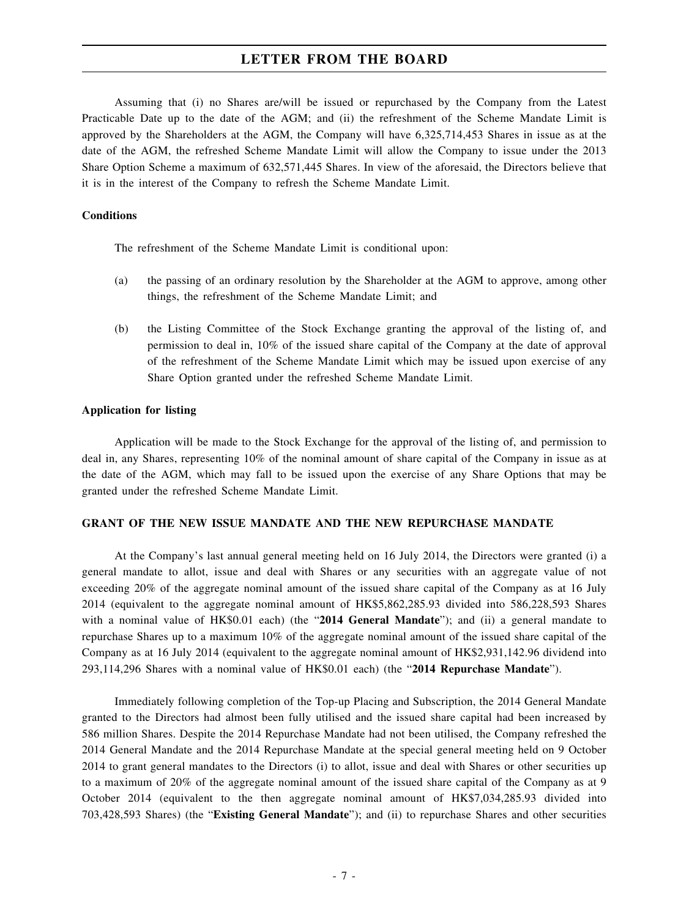Assuming that (i) no Shares are/will be issued or repurchased by the Company from the Latest Practicable Date up to the date of the AGM; and (ii) the refreshment of the Scheme Mandate Limit is approved by the Shareholders at the AGM, the Company will have 6,325,714,453 Shares in issue as at the date of the AGM, the refreshed Scheme Mandate Limit will allow the Company to issue under the 2013 Share Option Scheme a maximum of 632,571,445 Shares. In view of the aforesaid, the Directors believe that it is in the interest of the Company to refresh the Scheme Mandate Limit.

#### **Conditions**

The refreshment of the Scheme Mandate Limit is conditional upon:

- (a) the passing of an ordinary resolution by the Shareholder at the AGM to approve, among other things, the refreshment of the Scheme Mandate Limit; and
- (b) the Listing Committee of the Stock Exchange granting the approval of the listing of, and permission to deal in, 10% of the issued share capital of the Company at the date of approval of the refreshment of the Scheme Mandate Limit which may be issued upon exercise of any Share Option granted under the refreshed Scheme Mandate Limit.

#### **Application for listing**

Application will be made to the Stock Exchange for the approval of the listing of, and permission to deal in, any Shares, representing 10% of the nominal amount of share capital of the Company in issue as at the date of the AGM, which may fall to be issued upon the exercise of any Share Options that may be granted under the refreshed Scheme Mandate Limit.

#### **GRANT OF THE NEW ISSUE MANDATE AND THE NEW REPURCHASE MANDATE**

At the Company's last annual general meeting held on 16 July 2014, the Directors were granted (i) a general mandate to allot, issue and deal with Shares or any securities with an aggregate value of not exceeding 20% of the aggregate nominal amount of the issued share capital of the Company as at 16 July 2014 (equivalent to the aggregate nominal amount of HK\$5,862,285.93 divided into 586,228,593 Shares with a nominal value of HK\$0.01 each) (the "**2014 General Mandate**"); and (ii) a general mandate to repurchase Shares up to a maximum 10% of the aggregate nominal amount of the issued share capital of the Company as at 16 July 2014 (equivalent to the aggregate nominal amount of HK\$2,931,142.96 dividend into 293,114,296 Shares with a nominal value of HK\$0.01 each) (the "**2014 Repurchase Mandate**").

Immediately following completion of the Top-up Placing and Subscription, the 2014 General Mandate granted to the Directors had almost been fully utilised and the issued share capital had been increased by 586 million Shares. Despite the 2014 Repurchase Mandate had not been utilised, the Company refreshed the 2014 General Mandate and the 2014 Repurchase Mandate at the special general meeting held on 9 October 2014 to grant general mandates to the Directors (i) to allot, issue and deal with Shares or other securities up to a maximum of 20% of the aggregate nominal amount of the issued share capital of the Company as at 9 October 2014 (equivalent to the then aggregate nominal amount of HK\$7,034,285.93 divided into 703,428,593 Shares) (the "**Existing General Mandate**"); and (ii) to repurchase Shares and other securities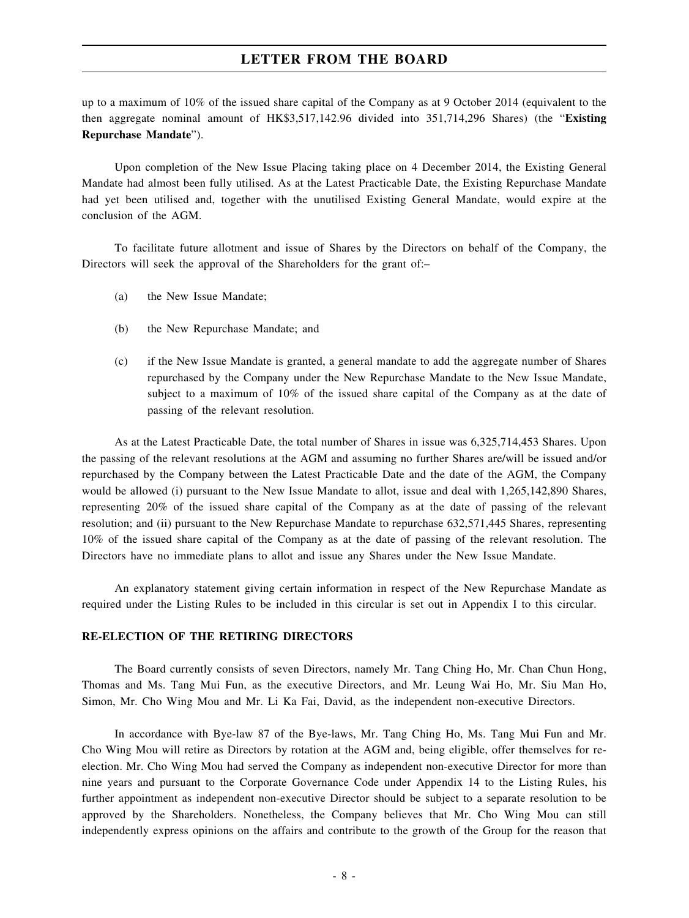up to a maximum of 10% of the issued share capital of the Company as at 9 October 2014 (equivalent to the then aggregate nominal amount of HK\$3,517,142.96 divided into 351,714,296 Shares) (the "**Existing Repurchase Mandate**").

Upon completion of the New Issue Placing taking place on 4 December 2014, the Existing General Mandate had almost been fully utilised. As at the Latest Practicable Date, the Existing Repurchase Mandate had yet been utilised and, together with the unutilised Existing General Mandate, would expire at the conclusion of the AGM.

To facilitate future allotment and issue of Shares by the Directors on behalf of the Company, the Directors will seek the approval of the Shareholders for the grant of:–

- (a) the New Issue Mandate;
- (b) the New Repurchase Mandate; and
- (c) if the New Issue Mandate is granted, a general mandate to add the aggregate number of Shares repurchased by the Company under the New Repurchase Mandate to the New Issue Mandate, subject to a maximum of 10% of the issued share capital of the Company as at the date of passing of the relevant resolution.

As at the Latest Practicable Date, the total number of Shares in issue was 6,325,714,453 Shares. Upon the passing of the relevant resolutions at the AGM and assuming no further Shares are/will be issued and/or repurchased by the Company between the Latest Practicable Date and the date of the AGM, the Company would be allowed (i) pursuant to the New Issue Mandate to allot, issue and deal with 1,265,142,890 Shares, representing 20% of the issued share capital of the Company as at the date of passing of the relevant resolution; and (ii) pursuant to the New Repurchase Mandate to repurchase 632,571,445 Shares, representing 10% of the issued share capital of the Company as at the date of passing of the relevant resolution. The Directors have no immediate plans to allot and issue any Shares under the New Issue Mandate.

An explanatory statement giving certain information in respect of the New Repurchase Mandate as required under the Listing Rules to be included in this circular is set out in Appendix I to this circular.

#### **RE-ELECTION OF THE RETIRING DIRECTORS**

The Board currently consists of seven Directors, namely Mr. Tang Ching Ho, Mr. Chan Chun Hong, Thomas and Ms. Tang Mui Fun, as the executive Directors, and Mr. Leung Wai Ho, Mr. Siu Man Ho, Simon, Mr. Cho Wing Mou and Mr. Li Ka Fai, David, as the independent non-executive Directors.

In accordance with Bye-law 87 of the Bye-laws, Mr. Tang Ching Ho, Ms. Tang Mui Fun and Mr. Cho Wing Mou will retire as Directors by rotation at the AGM and, being eligible, offer themselves for reelection. Mr. Cho Wing Mou had served the Company as independent non-executive Director for more than nine years and pursuant to the Corporate Governance Code under Appendix 14 to the Listing Rules, his further appointment as independent non-executive Director should be subject to a separate resolution to be approved by the Shareholders. Nonetheless, the Company believes that Mr. Cho Wing Mou can still independently express opinions on the affairs and contribute to the growth of the Group for the reason that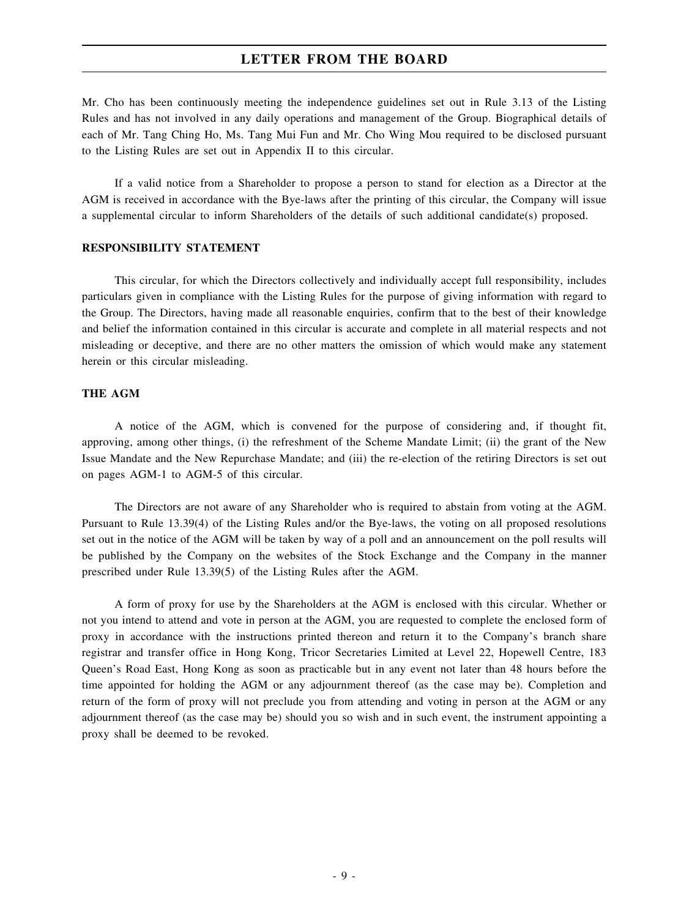Mr. Cho has been continuously meeting the independence guidelines set out in Rule 3.13 of the Listing Rules and has not involved in any daily operations and management of the Group. Biographical details of each of Mr. Tang Ching Ho, Ms. Tang Mui Fun and Mr. Cho Wing Mou required to be disclosed pursuant to the Listing Rules are set out in Appendix II to this circular.

If a valid notice from a Shareholder to propose a person to stand for election as a Director at the AGM is received in accordance with the Bye-laws after the printing of this circular, the Company will issue a supplemental circular to inform Shareholders of the details of such additional candidate(s) proposed.

#### **RESPONSIBILITY STATEMENT**

This circular, for which the Directors collectively and individually accept full responsibility, includes particulars given in compliance with the Listing Rules for the purpose of giving information with regard to the Group. The Directors, having made all reasonable enquiries, confirm that to the best of their knowledge and belief the information contained in this circular is accurate and complete in all material respects and not misleading or deceptive, and there are no other matters the omission of which would make any statement herein or this circular misleading.

#### **THE AGM**

A notice of the AGM, which is convened for the purpose of considering and, if thought fit, approving, among other things, (i) the refreshment of the Scheme Mandate Limit; (ii) the grant of the New Issue Mandate and the New Repurchase Mandate; and (iii) the re-election of the retiring Directors is set out on pages AGM-1 to AGM-5 of this circular.

The Directors are not aware of any Shareholder who is required to abstain from voting at the AGM. Pursuant to Rule 13.39(4) of the Listing Rules and/or the Bye-laws, the voting on all proposed resolutions set out in the notice of the AGM will be taken by way of a poll and an announcement on the poll results will be published by the Company on the websites of the Stock Exchange and the Company in the manner prescribed under Rule 13.39(5) of the Listing Rules after the AGM.

A form of proxy for use by the Shareholders at the AGM is enclosed with this circular. Whether or not you intend to attend and vote in person at the AGM, you are requested to complete the enclosed form of proxy in accordance with the instructions printed thereon and return it to the Company's branch share registrar and transfer office in Hong Kong, Tricor Secretaries Limited at Level 22, Hopewell Centre, 183 Queen's Road East, Hong Kong as soon as practicable but in any event not later than 48 hours before the time appointed for holding the AGM or any adjournment thereof (as the case may be). Completion and return of the form of proxy will not preclude you from attending and voting in person at the AGM or any adjournment thereof (as the case may be) should you so wish and in such event, the instrument appointing a proxy shall be deemed to be revoked.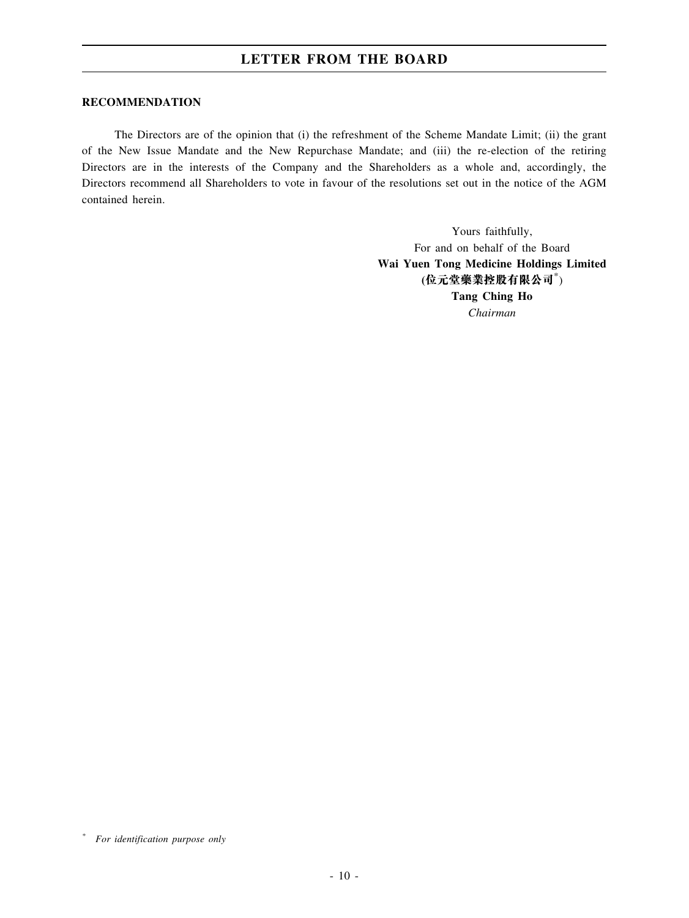#### **RECOMMENDATION**

The Directors are of the opinion that (i) the refreshment of the Scheme Mandate Limit; (ii) the grant of the New Issue Mandate and the New Repurchase Mandate; and (iii) the re-election of the retiring Directors are in the interests of the Company and the Shareholders as a whole and, accordingly, the Directors recommend all Shareholders to vote in favour of the resolutions set out in the notice of the AGM contained herein.

> Yours faithfully, For and on behalf of the Board **Wai Yuen Tong Medicine Holdings Limited (位元堂藥業控股有限公司**\* ) **Tang Ching Ho** *Chairman*

*<sup>\*</sup> For identification purpose only*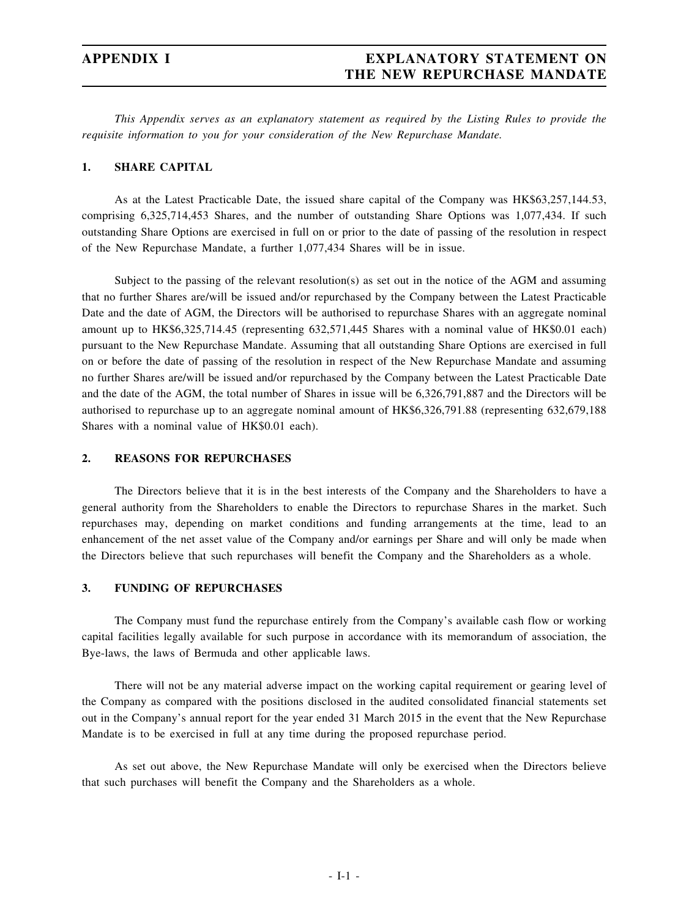## **APPENDIX I EXPLANATORY STATEMENT ON THE NEW REPURCHASE MANDATE**

*This Appendix serves as an explanatory statement as required by the Listing Rules to provide the requisite information to you for your consideration of the New Repurchase Mandate.*

#### **1. SHARE CAPITAL**

As at the Latest Practicable Date, the issued share capital of the Company was HK\$63,257,144.53, comprising 6,325,714,453 Shares, and the number of outstanding Share Options was 1,077,434. If such outstanding Share Options are exercised in full on or prior to the date of passing of the resolution in respect of the New Repurchase Mandate, a further 1,077,434 Shares will be in issue.

Subject to the passing of the relevant resolution(s) as set out in the notice of the AGM and assuming that no further Shares are/will be issued and/or repurchased by the Company between the Latest Practicable Date and the date of AGM, the Directors will be authorised to repurchase Shares with an aggregate nominal amount up to HK\$6,325,714.45 (representing 632,571,445 Shares with a nominal value of HK\$0.01 each) pursuant to the New Repurchase Mandate. Assuming that all outstanding Share Options are exercised in full on or before the date of passing of the resolution in respect of the New Repurchase Mandate and assuming no further Shares are/will be issued and/or repurchased by the Company between the Latest Practicable Date and the date of the AGM, the total number of Shares in issue will be 6,326,791,887 and the Directors will be authorised to repurchase up to an aggregate nominal amount of HK\$6,326,791.88 (representing 632,679,188 Shares with a nominal value of HK\$0.01 each).

#### **2. REASONS FOR REPURCHASES**

The Directors believe that it is in the best interests of the Company and the Shareholders to have a general authority from the Shareholders to enable the Directors to repurchase Shares in the market. Such repurchases may, depending on market conditions and funding arrangements at the time, lead to an enhancement of the net asset value of the Company and/or earnings per Share and will only be made when the Directors believe that such repurchases will benefit the Company and the Shareholders as a whole.

#### **3. FUNDING OF REPURCHASES**

The Company must fund the repurchase entirely from the Company's available cash flow or working capital facilities legally available for such purpose in accordance with its memorandum of association, the Bye-laws, the laws of Bermuda and other applicable laws.

There will not be any material adverse impact on the working capital requirement or gearing level of the Company as compared with the positions disclosed in the audited consolidated financial statements set out in the Company's annual report for the year ended 31 March 2015 in the event that the New Repurchase Mandate is to be exercised in full at any time during the proposed repurchase period.

As set out above, the New Repurchase Mandate will only be exercised when the Directors believe that such purchases will benefit the Company and the Shareholders as a whole.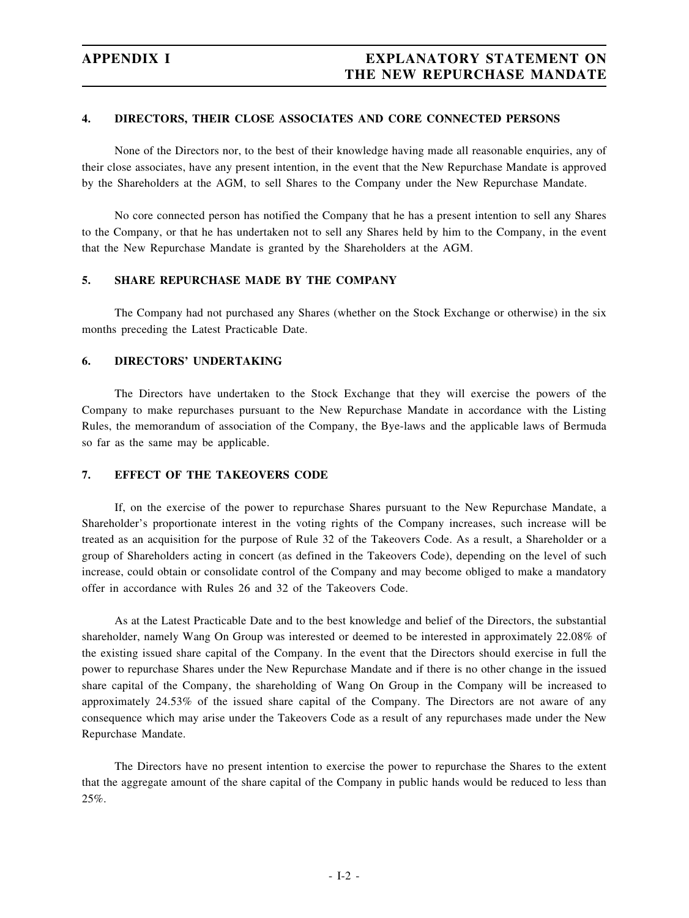#### **4. DIRECTORS, THEIR CLOSE ASSOCIATES AND CORE CONNECTED PERSONS**

None of the Directors nor, to the best of their knowledge having made all reasonable enquiries, any of their close associates, have any present intention, in the event that the New Repurchase Mandate is approved by the Shareholders at the AGM, to sell Shares to the Company under the New Repurchase Mandate.

No core connected person has notified the Company that he has a present intention to sell any Shares to the Company, or that he has undertaken not to sell any Shares held by him to the Company, in the event that the New Repurchase Mandate is granted by the Shareholders at the AGM.

### **5. SHARE REPURCHASE MADE BY THE COMPANY**

The Company had not purchased any Shares (whether on the Stock Exchange or otherwise) in the six months preceding the Latest Practicable Date.

#### **6. DIRECTORS' UNDERTAKING**

The Directors have undertaken to the Stock Exchange that they will exercise the powers of the Company to make repurchases pursuant to the New Repurchase Mandate in accordance with the Listing Rules, the memorandum of association of the Company, the Bye-laws and the applicable laws of Bermuda so far as the same may be applicable.

#### **7. EFFECT OF THE TAKEOVERS CODE**

If, on the exercise of the power to repurchase Shares pursuant to the New Repurchase Mandate, a Shareholder's proportionate interest in the voting rights of the Company increases, such increase will be treated as an acquisition for the purpose of Rule 32 of the Takeovers Code. As a result, a Shareholder or a group of Shareholders acting in concert (as defined in the Takeovers Code), depending on the level of such increase, could obtain or consolidate control of the Company and may become obliged to make a mandatory offer in accordance with Rules 26 and 32 of the Takeovers Code.

As at the Latest Practicable Date and to the best knowledge and belief of the Directors, the substantial shareholder, namely Wang On Group was interested or deemed to be interested in approximately 22.08% of the existing issued share capital of the Company. In the event that the Directors should exercise in full the power to repurchase Shares under the New Repurchase Mandate and if there is no other change in the issued share capital of the Company, the shareholding of Wang On Group in the Company will be increased to approximately 24.53% of the issued share capital of the Company. The Directors are not aware of any consequence which may arise under the Takeovers Code as a result of any repurchases made under the New Repurchase Mandate.

The Directors have no present intention to exercise the power to repurchase the Shares to the extent that the aggregate amount of the share capital of the Company in public hands would be reduced to less than 25%.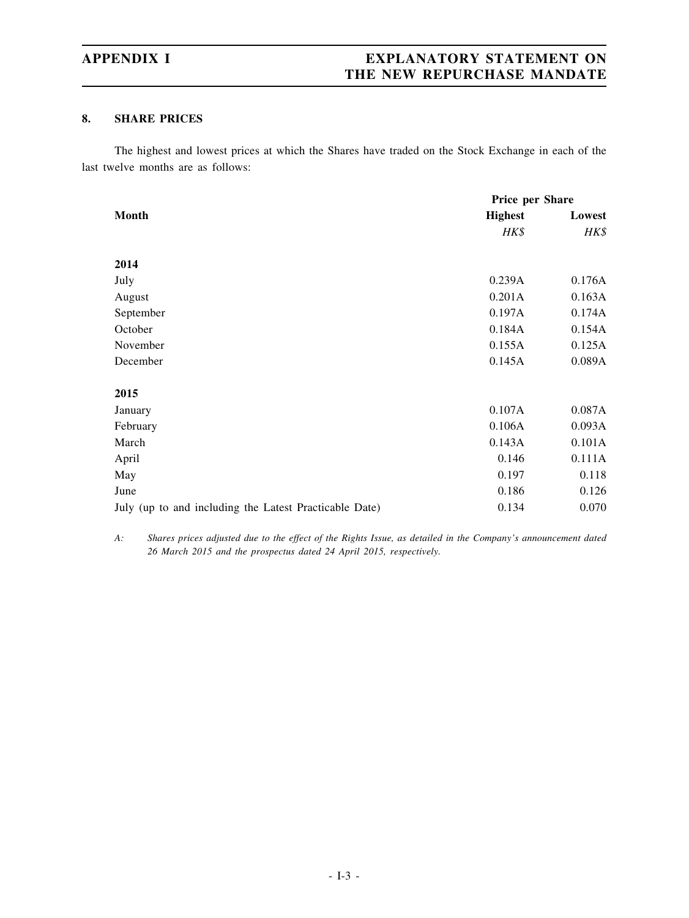## **APPENDIX I EXPLANATORY STATEMENT ON THE NEW REPURCHASE MANDATE**

### **8. SHARE PRICES**

The highest and lowest prices at which the Shares have traded on the Stock Exchange in each of the last twelve months are as follows:

|                                                        | Price per Share |        |  |
|--------------------------------------------------------|-----------------|--------|--|
| <b>Month</b>                                           | <b>Highest</b>  | Lowest |  |
|                                                        | HK\$            | HK\$   |  |
|                                                        |                 |        |  |
| 2014                                                   |                 |        |  |
| July                                                   | 0.239A          | 0.176A |  |
| August                                                 | 0.201A          | 0.163A |  |
| September                                              | 0.197A          | 0.174A |  |
| October                                                | 0.184A          | 0.154A |  |
| November                                               | 0.155A          | 0.125A |  |
| December                                               | 0.145A          | 0.089A |  |
| 2015                                                   |                 |        |  |
| January                                                | 0.107A          | 0.087A |  |
| February                                               | 0.106A          | 0.093A |  |
| March                                                  | 0.143A          | 0.101A |  |
| April                                                  | 0.146           | 0.111A |  |
| May                                                    | 0.197           | 0.118  |  |
| June                                                   | 0.186           | 0.126  |  |
| July (up to and including the Latest Practicable Date) | 0.134           | 0.070  |  |

A: Shares prices adjusted due to the effect of the Rights Issue, as detailed in the Company's announcement dated *26 March 2015 and the prospectus dated 24 April 2015, respectively.*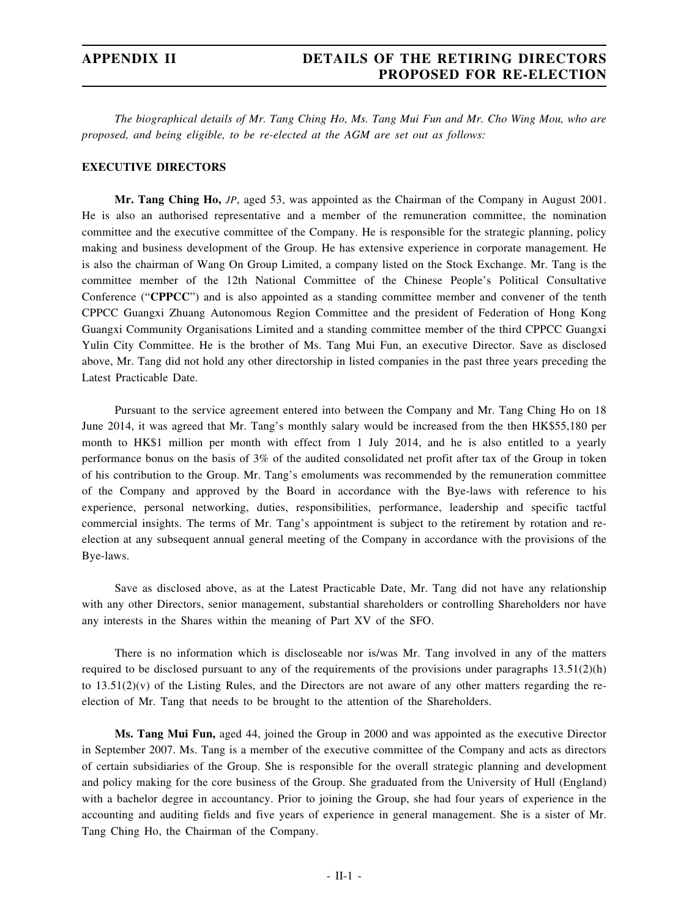## **APPENDIX II DETAILS OF THE RETIRING DIRECTORS PROPOSED FOR RE-ELECTION**

The biographical details of Mr. Tang Ching Ho, Ms. Tang Mui Fun and Mr. Cho Wing Mou, who are *proposed, and being eligible, to be re-elected at the AGM are set out as follows:*

#### **EXECUTIVE DIRECTORS**

**Mr. Tang Ching Ho,** *JP*, aged 53, was appointed as the Chairman of the Company in August 2001. He is also an authorised representative and a member of the remuneration committee, the nomination committee and the executive committee of the Company. He is responsible for the strategic planning, policy making and business development of the Group. He has extensive experience in corporate management. He is also the chairman of Wang On Group Limited, a company listed on the Stock Exchange. Mr. Tang is the committee member of the 12th National Committee of the Chinese People's Political Consultative Conference ("**CPPCC**") and is also appointed as a standing committee member and convener of the tenth CPPCC Guangxi Zhuang Autonomous Region Committee and the president of Federation of Hong Kong Guangxi Community Organisations Limited and a standing committee member of the third CPPCC Guangxi Yulin City Committee. He is the brother of Ms. Tang Mui Fun, an executive Director. Save as disclosed above, Mr. Tang did not hold any other directorship in listed companies in the past three years preceding the Latest Practicable Date.

Pursuant to the service agreement entered into between the Company and Mr. Tang Ching Ho on 18 June 2014, it was agreed that Mr. Tang's monthly salary would be increased from the then HK\$55,180 per month to HK\$1 million per month with effect from 1 July 2014, and he is also entitled to a yearly performance bonus on the basis of 3% of the audited consolidated net profit after tax of the Group in token of his contribution to the Group. Mr. Tang's emoluments was recommended by the remuneration committee of the Company and approved by the Board in accordance with the Bye-laws with reference to his experience, personal networking, duties, responsibilities, performance, leadership and specific tactful commercial insights. The terms of Mr. Tang's appointment is subject to the retirement by rotation and reelection at any subsequent annual general meeting of the Company in accordance with the provisions of the Bye-laws.

Save as disclosed above, as at the Latest Practicable Date, Mr. Tang did not have any relationship with any other Directors, senior management, substantial shareholders or controlling Shareholders nor have any interests in the Shares within the meaning of Part XV of the SFO.

There is no information which is discloseable nor is/was Mr. Tang involved in any of the matters required to be disclosed pursuant to any of the requirements of the provisions under paragraphs 13.51(2)(h) to  $13.51(2)(v)$  of the Listing Rules, and the Directors are not aware of any other matters regarding the reelection of Mr. Tang that needs to be brought to the attention of the Shareholders.

**Ms. Tang Mui Fun,** aged 44, joined the Group in 2000 and was appointed as the executive Director in September 2007. Ms. Tang is a member of the executive committee of the Company and acts as directors of certain subsidiaries of the Group. She is responsible for the overall strategic planning and development and policy making for the core business of the Group. She graduated from the University of Hull (England) with a bachelor degree in accountancy. Prior to joining the Group, she had four years of experience in the accounting and auditing fields and five years of experience in general management. She is a sister of Mr. Tang Ching Ho, the Chairman of the Company.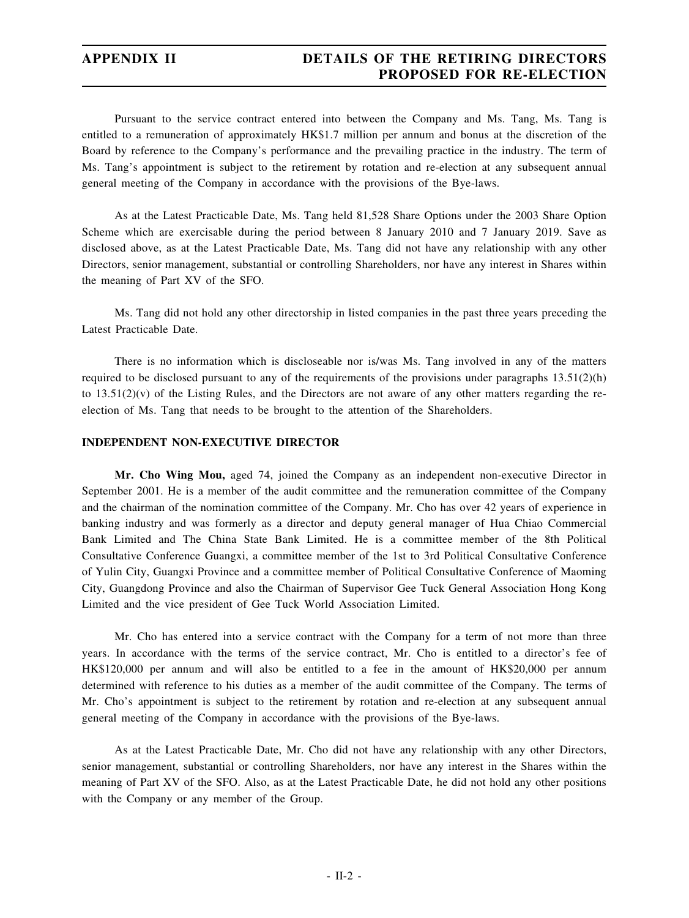## **APPENDIX II DETAILS OF THE RETIRING DIRECTORS PROPOSED FOR RE-ELECTION**

Pursuant to the service contract entered into between the Company and Ms. Tang, Ms. Tang is entitled to a remuneration of approximately HK\$1.7 million per annum and bonus at the discretion of the Board by reference to the Company's performance and the prevailing practice in the industry. The term of Ms. Tang's appointment is subject to the retirement by rotation and re-election at any subsequent annual general meeting of the Company in accordance with the provisions of the Bye-laws.

As at the Latest Practicable Date, Ms. Tang held 81,528 Share Options under the 2003 Share Option Scheme which are exercisable during the period between 8 January 2010 and 7 January 2019. Save as disclosed above, as at the Latest Practicable Date, Ms. Tang did not have any relationship with any other Directors, senior management, substantial or controlling Shareholders, nor have any interest in Shares within the meaning of Part XV of the SFO.

Ms. Tang did not hold any other directorship in listed companies in the past three years preceding the Latest Practicable Date.

There is no information which is discloseable nor is/was Ms. Tang involved in any of the matters required to be disclosed pursuant to any of the requirements of the provisions under paragraphs  $13.51(2)(h)$ to  $13.51(2)(v)$  of the Listing Rules, and the Directors are not aware of any other matters regarding the reelection of Ms. Tang that needs to be brought to the attention of the Shareholders.

#### **INDEPENDENT NON-EXECUTIVE DIRECTOR**

**Mr. Cho Wing Mou,** aged 74, joined the Company as an independent non-executive Director in September 2001. He is a member of the audit committee and the remuneration committee of the Company and the chairman of the nomination committee of the Company. Mr. Cho has over 42 years of experience in banking industry and was formerly as a director and deputy general manager of Hua Chiao Commercial Bank Limited and The China State Bank Limited. He is a committee member of the 8th Political Consultative Conference Guangxi, a committee member of the 1st to 3rd Political Consultative Conference of Yulin City, Guangxi Province and a committee member of Political Consultative Conference of Maoming City, Guangdong Province and also the Chairman of Supervisor Gee Tuck General Association Hong Kong Limited and the vice president of Gee Tuck World Association Limited.

Mr. Cho has entered into a service contract with the Company for a term of not more than three years. In accordance with the terms of the service contract, Mr. Cho is entitled to a director's fee of HK\$120,000 per annum and will also be entitled to a fee in the amount of HK\$20,000 per annum determined with reference to his duties as a member of the audit committee of the Company. The terms of Mr. Cho's appointment is subject to the retirement by rotation and re-election at any subsequent annual general meeting of the Company in accordance with the provisions of the Bye-laws.

As at the Latest Practicable Date, Mr. Cho did not have any relationship with any other Directors, senior management, substantial or controlling Shareholders, nor have any interest in the Shares within the meaning of Part XV of the SFO. Also, as at the Latest Practicable Date, he did not hold any other positions with the Company or any member of the Group.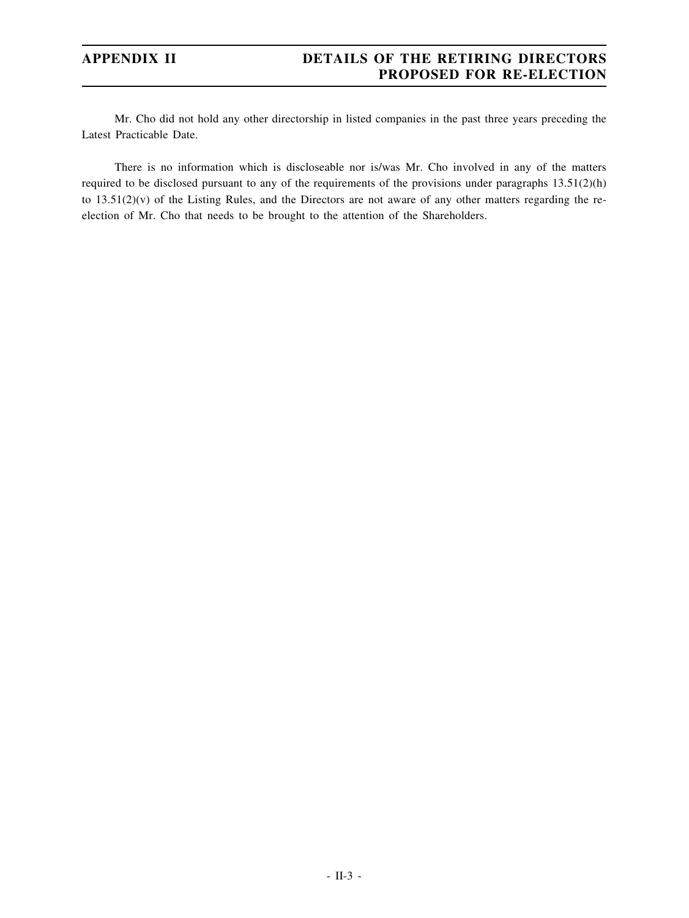## **APPENDIX II DETAILS OF THE RETIRING DIRECTORS PROPOSED FOR RE-ELECTION**

Mr. Cho did not hold any other directorship in listed companies in the past three years preceding the Latest Practicable Date.

There is no information which is discloseable nor is/was Mr. Cho involved in any of the matters required to be disclosed pursuant to any of the requirements of the provisions under paragraphs 13.51(2)(h) to 13.51(2)(v) of the Listing Rules, and the Directors are not aware of any other matters regarding the reelection of Mr. Cho that needs to be brought to the attention of the Shareholders.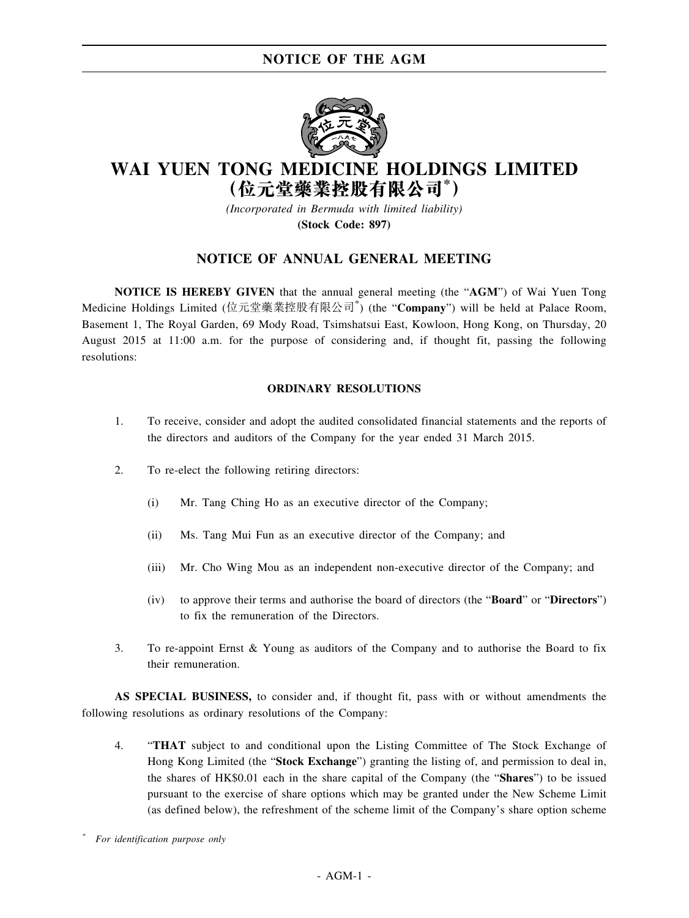

# **WAI YUEN TONG MEDICINE HOLDINGS LIMITED (位元堂藥業控股有限公司\* )**

*(Incorporated in Bermuda with limited liability)* **(Stock Code: 897)**

## **NOTICE OF ANNUAL GENERAL MEETING**

**NOTICE IS HEREBY GIVEN** that the annual general meeting (the "**AGM**") of Wai Yuen Tong Medicine Holdings Limited (位元堂藥業控股有限公司\* ) (the "**Company**") will be held at Palace Room, Basement 1, The Royal Garden, 69 Mody Road, Tsimshatsui East, Kowloon, Hong Kong, on Thursday, 20 August 2015 at 11:00 a.m. for the purpose of considering and, if thought fit, passing the following resolutions:

#### **ORDINARY RESOLUTIONS**

- 1. To receive, consider and adopt the audited consolidated financial statements and the reports of the directors and auditors of the Company for the year ended 31 March 2015.
- 2. To re-elect the following retiring directors:
	- (i) Mr. Tang Ching Ho as an executive director of the Company;
	- (ii) Ms. Tang Mui Fun as an executive director of the Company; and
	- (iii) Mr. Cho Wing Mou as an independent non-executive director of the Company; and
	- (iv) to approve their terms and authorise the board of directors (the "**Board**" or "**Directors**") to fix the remuneration of the Directors.
- 3. To re-appoint Ernst & Young as auditors of the Company and to authorise the Board to fix their remuneration.

**AS SPECIAL BUSINESS,** to consider and, if thought fit, pass with or without amendments the following resolutions as ordinary resolutions of the Company:

4. "**THAT** subject to and conditional upon the Listing Committee of The Stock Exchange of Hong Kong Limited (the "**Stock Exchange**") granting the listing of, and permission to deal in, the shares of HK\$0.01 each in the share capital of the Company (the "**Shares**") to be issued pursuant to the exercise of share options which may be granted under the New Scheme Limit (as defined below), the refreshment of the scheme limit of the Company's share option scheme

*\* For identification purpose only*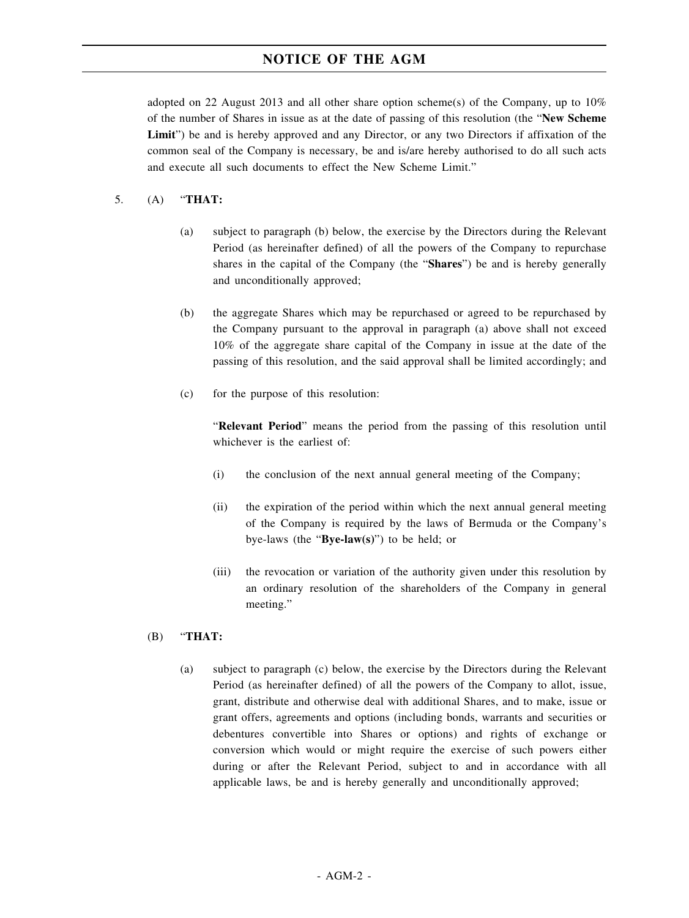adopted on 22 August 2013 and all other share option scheme(s) of the Company, up to  $10\%$ of the number of Shares in issue as at the date of passing of this resolution (the "**New Scheme Limit**") be and is hereby approved and any Director, or any two Directors if affixation of the common seal of the Company is necessary, be and is/are hereby authorised to do all such acts and execute all such documents to effect the New Scheme Limit."

#### 5. (A) "**THAT:**

- (a) subject to paragraph (b) below, the exercise by the Directors during the Relevant Period (as hereinafter defined) of all the powers of the Company to repurchase shares in the capital of the Company (the "**Shares**") be and is hereby generally and unconditionally approved;
- (b) the aggregate Shares which may be repurchased or agreed to be repurchased by the Company pursuant to the approval in paragraph (a) above shall not exceed 10% of the aggregate share capital of the Company in issue at the date of the passing of this resolution, and the said approval shall be limited accordingly; and
- (c) for the purpose of this resolution:

"**Relevant Period**" means the period from the passing of this resolution until whichever is the earliest of:

- (i) the conclusion of the next annual general meeting of the Company;
- (ii) the expiration of the period within which the next annual general meeting of the Company is required by the laws of Bermuda or the Company's bye-laws (the "**Bye-law(s)**") to be held; or
- (iii) the revocation or variation of the authority given under this resolution by an ordinary resolution of the shareholders of the Company in general meeting."

#### (B) "**THAT:**

(a) subject to paragraph (c) below, the exercise by the Directors during the Relevant Period (as hereinafter defined) of all the powers of the Company to allot, issue, grant, distribute and otherwise deal with additional Shares, and to make, issue or grant offers, agreements and options (including bonds, warrants and securities or debentures convertible into Shares or options) and rights of exchange or conversion which would or might require the exercise of such powers either during or after the Relevant Period, subject to and in accordance with all applicable laws, be and is hereby generally and unconditionally approved;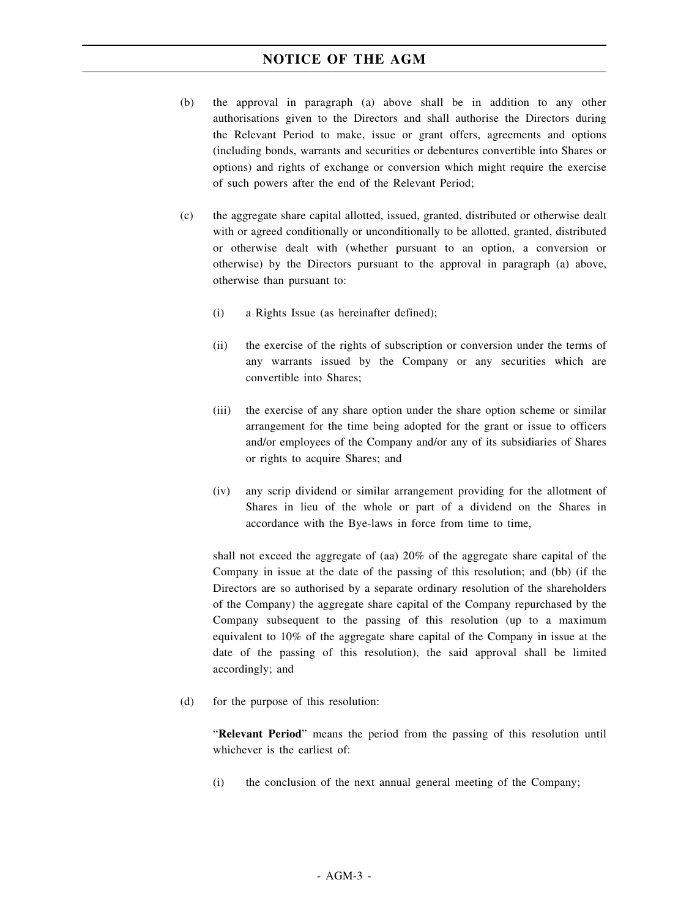- (b) the approval in paragraph (a) above shall be in addition to any other authorisations given to the Directors and shall authorise the Directors during the Relevant Period to make, issue or grant offers, agreements and options (including bonds, warrants and securities or debentures convertible into Shares or options) and rights of exchange or conversion which might require the exercise of such powers after the end of the Relevant Period;
- (c) the aggregate share capital allotted, issued, granted, distributed or otherwise dealt with or agreed conditionally or unconditionally to be allotted, granted, distributed or otherwise dealt with (whether pursuant to an option, a conversion or otherwise) by the Directors pursuant to the approval in paragraph (a) above, otherwise than pursuant to:
	- (i) a Rights Issue (as hereinafter defined);
	- (ii) the exercise of the rights of subscription or conversion under the terms of any warrants issued by the Company or any securities which are convertible into Shares;
	- (iii) the exercise of any share option under the share option scheme or similar arrangement for the time being adopted for the grant or issue to officers and/or employees of the Company and/or any of its subsidiaries of Shares or rights to acquire Shares; and
	- (iv) any scrip dividend or similar arrangement providing for the allotment of Shares in lieu of the whole or part of a dividend on the Shares in accordance with the Bye-laws in force from time to time,

shall not exceed the aggregate of (aa) 20% of the aggregate share capital of the Company in issue at the date of the passing of this resolution; and (bb) (if the Directors are so authorised by a separate ordinary resolution of the shareholders of the Company) the aggregate share capital of the Company repurchased by the Company subsequent to the passing of this resolution (up to a maximum equivalent to 10% of the aggregate share capital of the Company in issue at the date of the passing of this resolution), the said approval shall be limited accordingly; and

(d) for the purpose of this resolution:

"**Relevant Period**" means the period from the passing of this resolution until whichever is the earliest of:

(i) the conclusion of the next annual general meeting of the Company;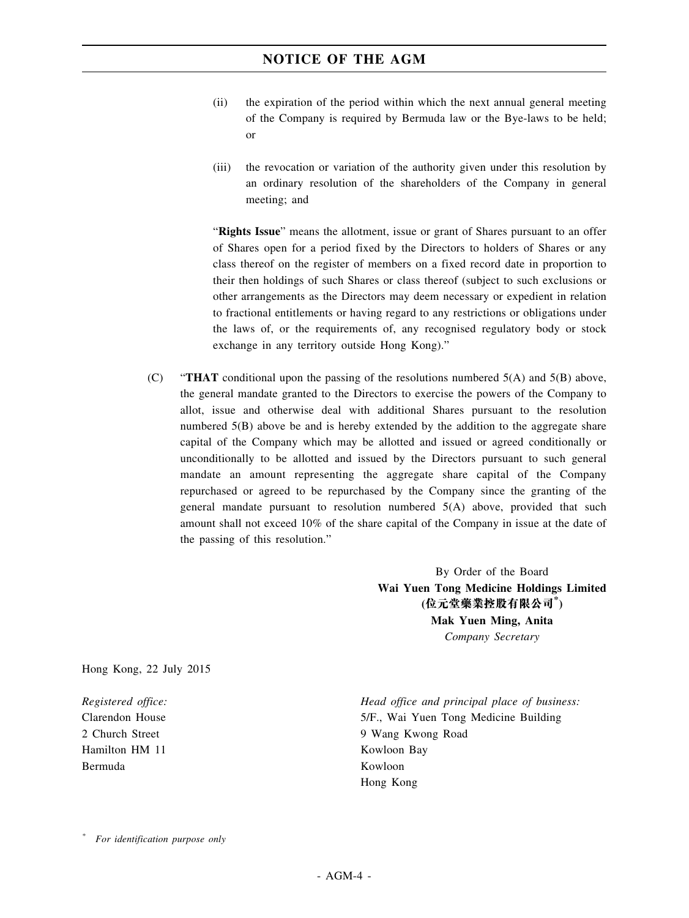- (ii) the expiration of the period within which the next annual general meeting of the Company is required by Bermuda law or the Bye-laws to be held; or
- (iii) the revocation or variation of the authority given under this resolution by an ordinary resolution of the shareholders of the Company in general meeting; and

"**Rights Issue**" means the allotment, issue or grant of Shares pursuant to an offer of Shares open for a period fixed by the Directors to holders of Shares or any class thereof on the register of members on a fixed record date in proportion to their then holdings of such Shares or class thereof (subject to such exclusions or other arrangements as the Directors may deem necessary or expedient in relation to fractional entitlements or having regard to any restrictions or obligations under the laws of, or the requirements of, any recognised regulatory body or stock exchange in any territory outside Hong Kong)."

(C) "**THAT** conditional upon the passing of the resolutions numbered 5(A) and 5(B) above, the general mandate granted to the Directors to exercise the powers of the Company to allot, issue and otherwise deal with additional Shares pursuant to the resolution numbered 5(B) above be and is hereby extended by the addition to the aggregate share capital of the Company which may be allotted and issued or agreed conditionally or unconditionally to be allotted and issued by the Directors pursuant to such general mandate an amount representing the aggregate share capital of the Company repurchased or agreed to be repurchased by the Company since the granting of the general mandate pursuant to resolution numbered 5(A) above, provided that such amount shall not exceed 10% of the share capital of the Company in issue at the date of the passing of this resolution."

> By Order of the Board **Wai Yuen Tong Medicine Holdings Limited (位元堂藥業控股有限公司\* ) Mak Yuen Ming, Anita** *Company Secretary*

Hong Kong, 22 July 2015

*Registered office:* Clarendon House 2 Church Street Hamilton HM 11 Bermuda

*Head office and principal place of business:* 5/F., Wai Yuen Tong Medicine Building 9 Wang Kwong Road Kowloon Bay Kowloon Hong Kong

*<sup>\*</sup> For identification purpose only*